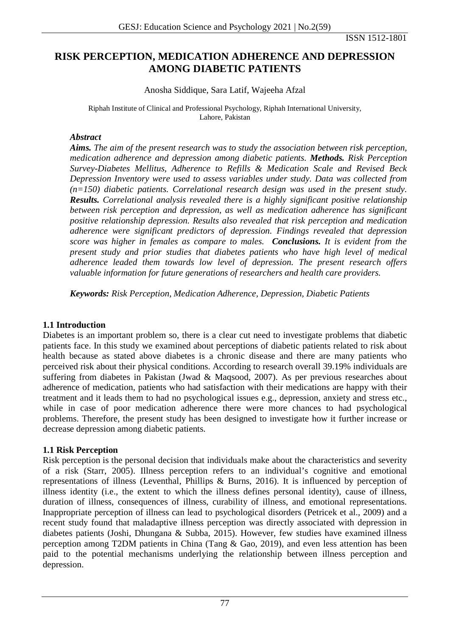ISSN 1512-1801

# **RISK PERCEPTION, MEDICATION ADHERENCE AND DEPRESSION AMONG DIABETIC PATIENTS**

Anosha Siddique, Sara Latif, Wajeeha Afzal

Riphah Institute of Clinical and Professional Psychology, Riphah International University, Lahore, Pakistan

### *Abstract*

*Aims. The aim of the present research was to study the association between risk perception, medication adherence and depression among diabetic patients. Methods. Risk Perception Survey-Diabetes Mellitus, Adherence to Refills & Medication Scale and Revised Beck Depression Inventory were used to assess variables under study. Data was collected from (n=150) diabetic patients. Correlational research design was used in the present study. Results. Correlational analysis revealed there is a highly significant positive relationship between risk perception and depression, as well as medication adherence has significant positive relationship depression. Results also revealed that risk perception and medication adherence were significant predictors of depression. Findings revealed that depression score was higher in females as compare to males. Conclusions. It is evident from the present study and prior studies that diabetes patients who have high level of medical adherence leaded them towards low level of depression. The present research offers valuable information for future generations of researchers and health care providers.*

*Keywords: Risk Perception, Medication Adherence, Depression, Diabetic Patients*

## **1.1 Introduction**

Diabetes is an important problem so, there is a clear cut need to investigate problems that diabetic patients face. In this study we examined about perceptions of diabetic patients related to risk about health because as stated above diabetes is a chronic disease and there are many patients who perceived risk about their physical conditions. According to research overall 39.19% individuals are suffering from diabetes in Pakistan (Jwad & Maqsood, 2007). As per previous researches about adherence of medication, patients who had satisfaction with their medications are happy with their treatment and it leads them to had no psychological issues e.g., depression, anxiety and stress etc., while in case of poor medication adherence there were more chances to had psychological problems. Therefore, the present study has been designed to investigate how it further increase or decrease depression among diabetic patients.

## **1.1 Risk Perception**

Risk perception is the personal decision that individuals make about the characteristics and severity of a risk (Starr, 2005). Illness perception refers to an individual's cognitive and emotional representations of illness (Leventhal, Phillips & Burns, 2016). It is influenced by perception of illness identity (i.e., the extent to which the illness defines personal identity), cause of illness, duration of illness, consequences of illness, curability of illness, and emotional representations. Inappropriate perception of illness can lead to psychological disorders (Petricek et al., 2009) and a recent study found that maladaptive illness perception was directly associated with depression in diabetes patients (Joshi, Dhungana & Subba, 2015). However, few studies have examined illness perception among T2DM patients in China (Tang & Gao, 2019), and even less attention has been paid to the potential mechanisms underlying the relationship between illness perception and depression.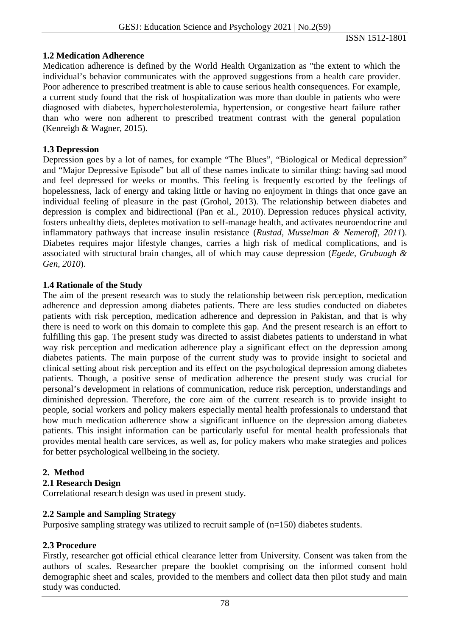### **1.2 Medication Adherence**

Medication adherence is defined by the World Health Organization as "the extent to which the individual's behavior communicates with the approved suggestions from a health care provider. Poor adherence to prescribed treatment is able to cause serious health consequences. For example, a current study found that the risk of hospitalization was more than double in patients who were diagnosed with diabetes, hypercholesterolemia, hypertension, or congestive heart failure rather than who were non adherent to prescribed treatment contrast with the general population (Kenreigh & Wagner, 2015).

### **1.3 Depression**

Depression goes by a lot of names, for example "The Blues", "Biological or Medical depression" and "Major Depressive Episode" but all of these names indicate to similar thing: having sad mood and feel depressed for weeks or months. This feeling is frequently escorted by the feelings of hopelessness, lack of energy and taking little or having no enjoyment in things that once gave an individual feeling of pleasure in the past (Grohol, 2013). The relationship between diabetes and depression is complex and bidirectional (Pan et al., 2010). Depression reduces physical activity, fosters unhealthy diets, depletes motivation to self-manage health, and activates neuroendocrine and inflammatory pathways that increase insulin resistance (*Rustad, Musselman & Nemeroff, 2011*). Diabetes requires major lifestyle changes, carries a high risk of medical complications, and is associated with structural brain changes, all of which may cause depression (*Egede, Grubaugh & Gen, 2010*).

### **1.4 Rationale of the Study**

The aim of the present research was to study the relationship between risk perception, medication adherence and depression among diabetes patients. There are less studies conducted on diabetes patients with risk perception, medication adherence and depression in Pakistan, and that is why there is need to work on this domain to complete this gap. And the present research is an effort to fulfilling this gap. The present study was directed to assist diabetes patients to understand in what way risk perception and medication adherence play a significant effect on the depression among diabetes patients. The main purpose of the current study was to provide insight to societal and clinical setting about risk perception and its effect on the psychological depression among diabetes patients. Though, a positive sense of medication adherence the present study was crucial for personal's development in relations of communication, reduce risk perception, understandings and diminished depression. Therefore, the core aim of the current research is to provide insight to people, social workers and policy makers especially mental health professionals to understand that how much medication adherence show a significant influence on the depression among diabetes patients. This insight information can be particularly useful for mental health professionals that provides mental health care services, as well as, for policy makers who make strategies and polices for better psychological wellbeing in the society.

#### **2. Method**

**2.1 Research Design**

Correlational research design was used in present study.

#### **2.2 Sample and Sampling Strategy**

Purposive sampling strategy was utilized to recruit sample of  $(n=150)$  diabetes students.

## **2.3 Procedure**

Firstly, researcher got official ethical clearance letter from University. Consent was taken from the authors of scales. Researcher prepare the booklet comprising on the informed consent hold demographic sheet and scales, provided to the members and collect data then pilot study and main study was conducted.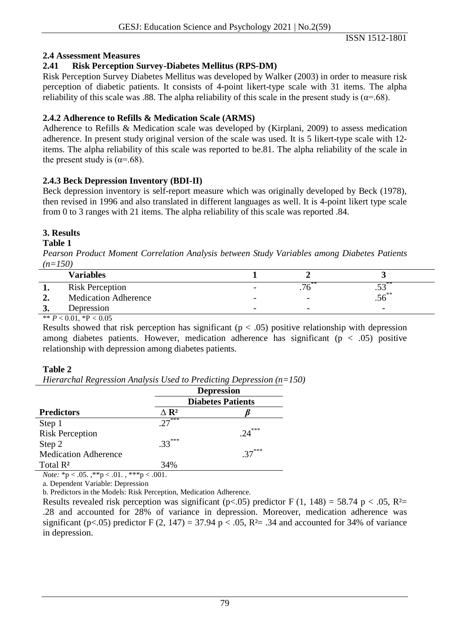ISSN 1512-1801

## **2.4 Assessment Measures**

## **2.41 Risk Perception Survey-Diabetes Mellitus (RPS-DM)**

Risk Perception Survey Diabetes Mellitus was developed by Walker (2003) in order to measure risk perception of diabetic patients. It consists of 4-point likert-type scale with 31 items. The alpha reliability of this scale was .88. The alpha reliability of this scale in the present study is ( $\alpha$ =.68).

## **2.4.2 Adherence to Refills & Medication Scale (ARMS)**

Adherence to Refills & Medication scale was developed by (Kirplani, 2009) to assess medication adherence. In present study original version of the scale was used. It is 5 likert-type scale with 12 items. The alpha reliability of this scale was reported to be.81. The alpha reliability of the scale in the present study is  $(\alpha = .68)$ .

## **2.4.3 Beck Depression Inventory (BDI-II)**

Beck depression inventory is self-report measure which was originally developed by Beck (1978), then revised in 1996 and also translated in different languages as well. It is 4-point likert type scale from 0 to 3 ranges with 21 items. The alpha reliability of this scale was reported .84.

## **3. Results**

## **Table 1**

*Pearson Product Moment Correlation Analysis between Study Variables among Diabetes Patients (n=150)*

|        | <b>Variables</b>                                                                                                                                                                                                                                                                                                    |                          |                          |
|--------|---------------------------------------------------------------------------------------------------------------------------------------------------------------------------------------------------------------------------------------------------------------------------------------------------------------------|--------------------------|--------------------------|
|        | <b>Risk Perception</b>                                                                                                                                                                                                                                                                                              |                          | $\cdot\!\!\sim\!\!\sim$  |
| $\sim$ | <b>Medication Adherence</b>                                                                                                                                                                                                                                                                                         |                          | — _**<br>.JO             |
| ູ      | Depression                                                                                                                                                                                                                                                                                                          | $\overline{\phantom{0}}$ | $\overline{\phantom{0}}$ |
|        | $\frac{1}{2}$ $\frac{1}{2}$ $\frac{1}{2}$ $\frac{1}{2}$ $\frac{1}{2}$ $\frac{1}{2}$ $\frac{1}{2}$ $\frac{1}{2}$ $\frac{1}{2}$ $\frac{1}{2}$ $\frac{1}{2}$ $\frac{1}{2}$ $\frac{1}{2}$ $\frac{1}{2}$ $\frac{1}{2}$ $\frac{1}{2}$ $\frac{1}{2}$ $\frac{1}{2}$ $\frac{1}{2}$ $\frac{1}{2}$ $\frac{1}{2}$ $\frac{1}{2}$ |                          |                          |

\*\*  $P < 0.01$ , \*P  $< 0.05$ 

Results showed that risk perception has significant ( $p < .05$ ) positive relationship with depression among diabetes patients. However, medication adherence has significant ( $p < .05$ ) positive relationship with depression among diabetes patients.

## **Table 2**

*Hierarchal Regression Analysis Used to Predicting Depression (n=150)*

|                                                   |                         | <b>Depression</b>        |  |  |
|---------------------------------------------------|-------------------------|--------------------------|--|--|
|                                                   |                         | <b>Diabetes Patients</b> |  |  |
| <b>Predictors</b>                                 | $\Delta$ R <sup>2</sup> |                          |  |  |
| Step 1                                            | $27***$                 |                          |  |  |
| <b>Risk Perception</b>                            |                         | $24***$                  |  |  |
| Step 2                                            | $33***$                 |                          |  |  |
| <b>Medication Adherence</b>                       |                         | $37***$                  |  |  |
| Total R <sup>2</sup>                              | 34%                     |                          |  |  |
| <i>Note:</i> *p < .05. ,**p < .01. , ***p < .001. |                         |                          |  |  |

a. Dependent Variable: Depression

b. Predictors in the Models: Risk Perception, Medication Adherence.

Results revealed risk perception was significant ( $p<0.05$ ) predictor F (1, 148) = 58.74 p < 0.05, R<sup>2</sup>= .28 and accounted for 28% of variance in depression. Moreover, medication adherence was significant (p<.05) predictor F (2, 147) = 37.94 p < .05, R<sup>2</sup>= .34 and accounted for 34% of variance in depression.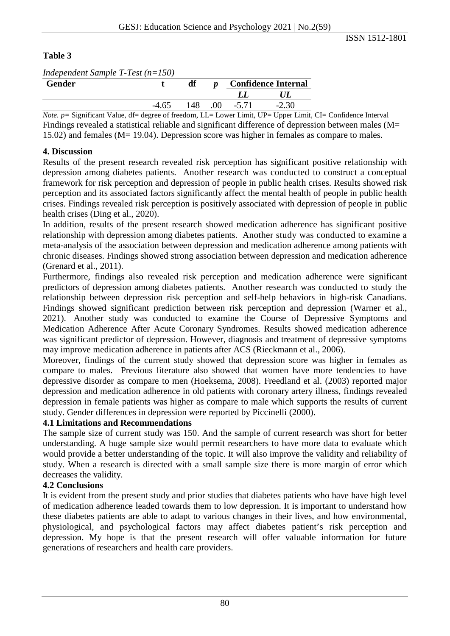### **Table 3**

| Independent Sample T-Test $(n=150)$             |          |    |        |                            |                                                                                                                                                                                                                                                                                                                                                     |  |  |  |  |
|-------------------------------------------------|----------|----|--------|----------------------------|-----------------------------------------------------------------------------------------------------------------------------------------------------------------------------------------------------------------------------------------------------------------------------------------------------------------------------------------------------|--|--|--|--|
| <b>Gender</b>                                   |          | df |        | <b>Confidence Internal</b> |                                                                                                                                                                                                                                                                                                                                                     |  |  |  |  |
|                                                 |          |    |        |                            |                                                                                                                                                                                                                                                                                                                                                     |  |  |  |  |
|                                                 | $-4.65$  |    | 148 00 | $-5.71$                    | $-2.30$                                                                                                                                                                                                                                                                                                                                             |  |  |  |  |
| $\sim \cdot$ $\sim$<br>$\cdots$<br>$\mathbf{v}$ | $\cdots$ |    |        |                            | $\overline{a}$ , $\overline{a}$ , $\overline{a}$ , $\overline{a}$ , $\overline{a}$ , $\overline{a}$ , $\overline{a}$ , $\overline{a}$ , $\overline{a}$ , $\overline{a}$ , $\overline{a}$ , $\overline{a}$ , $\overline{a}$ , $\overline{a}$ , $\overline{a}$ , $\overline{a}$ , $\overline{a}$ , $\overline{a}$ , $\overline{a}$ , $\overline{a}$ , |  |  |  |  |

*Note. p* = Significant Value, df = degree of freedom, LL = Lower Limit, UP = Upper Limit, CI = Confidence Interval Findings revealed a statistical reliable and significant difference of depression between males (M= 15.02) and females (M= 19.04). Depression score was higher in females as compare to males.

### **4. Discussion**

Results of the present research revealed risk perception has significant positive relationship with depression among diabetes patients. Another research was conducted to construct a conceptual framework for risk perception and depression of people in public health crises. Results showed risk perception and its associated factors significantly affect the mental health of people in public health crises. Findings revealed risk perception is positively associated with depression of people in public health crises (Ding et al., 2020).

In addition, results of the present research showed medication adherence has significant positive relationship with depression among diabetes patients. Another study was conducted to examine a meta-analysis of the association between depression and medication adherence among patients with chronic diseases. Findings showed strong association between depression and medication adherence (Grenard et al., 2011).

Furthermore, findings also revealed risk perception and medication adherence were significant predictors of depression among diabetes patients. Another research was conducted to study the relationship between depression risk perception and self-help behaviors in high-risk Canadians. Findings showed significant prediction between risk perception and depression (Warner et al., 2021). Another study was conducted to examine the Course of Depressive Symptoms and Medication Adherence After Acute Coronary Syndromes. Results showed medication adherence was significant predictor of depression. However, diagnosis and treatment of depressive symptoms may improve medication adherence in patients after ACS (Rieckmann et al., 2006).

Moreover, findings of the current study showed that depression score was higher in females as compare to males. Previous literature also showed that women have more tendencies to have depressive disorder as compare to men (Hoeksema, 2008). Freedland et al. (2003) reported major depression and medication adherence in old patients with coronary artery illness, findings revealed depression in female patients was higher as compare to male which supports the results of current study. Gender differences in depression were reported by Piccinelli (2000).

## **4.1 Limitations and Recommendations**

The sample size of current study was 150. And the sample of current research was short for better understanding. A huge sample size would permit researchers to have more data to evaluate which would provide a better understanding of the topic. It will also improve the validity and reliability of study. When a research is directed with a small sample size there is more margin of error which decreases the validity.

#### **4.2 Conclusions**

It is evident from the present study and prior studies that diabetes patients who have have high level of medication adherence leaded towards them to low depression. It is important to understand how these diabetes patients are able to adapt to various changes in their lives, and how environmental, physiological, and psychological factors may affect diabetes patient's risk perception and depression. My hope is that the present research will offer valuable information for future generations of researchers and health care providers.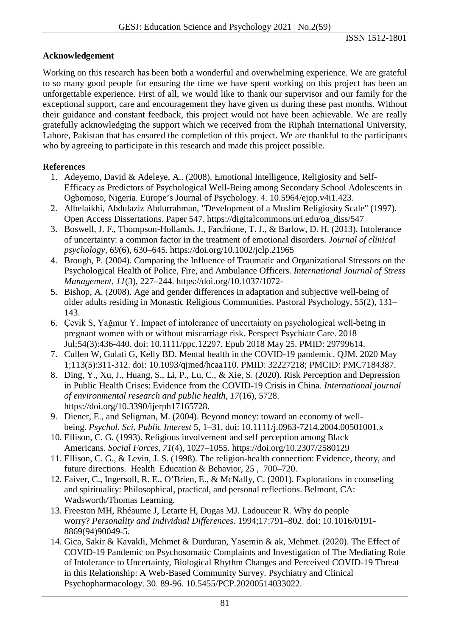## **Acknowledgement**

Working on this research has been both a wonderful and overwhelming experience. We are grateful to so many good people for ensuring the time we have spent working on this project has been an unforgettable experience. First of all, we would like to thank our supervisor and our family for the exceptional support, care and encouragement they have given us during these past months. Without their guidance and constant feedback, this project would not have been achievable. We are really gratefully acknowledging the support which we received from the Riphah International University, Lahore, Pakistan that has ensured the completion of this project. We are thankful to the participants who by agreeing to participate in this research and made this project possible.

### **References**

- 1. Adeyemo, David & Adeleye, A.. (2008). Emotional Intelligence, Religiosity and Self-Efficacy as Predictors of Psychological Well-Being among Secondary School Adolescents in Ogbomoso, Nigeria. Europe's Journal of Psychology. 4. 10.5964/ejop.v4i1.423.
- 2. Albelaikhi, Abdulaziz Abdurrahman, "Development of a Muslim Religiosity Scale" (1997). Open Access Dissertations. Paper 547. [https://digitalcommons.uri.edu/oa\\_diss/547](https://digitalcommons.uri.edu/oa_diss/547)
- 3. Boswell, J. F., Thompson-Hollands, J., Farchione, T. J., & Barlow, D. H. (2013). Intolerance of uncertainty: a common factor in the treatment of emotional disorders. *Journal of clinical psychology*, *69*(6), 630–645.<https://doi.org/10.1002/jclp.21965>
- 4. Brough, P. (2004). Comparing the Influence of Traumatic and Organizational Stressors on the Psychological Health of Police, Fire, and Ambulance Officers. *International Journal of Stress Management, 11*(3), 227–244. [https://doi.org/10.1037/1072-](https://psycnet.apa.org/doi/10.1037/1072-5245.11.3.227)
- 5. Bishop, A. (2008). Age and gender differences in adaptation and subjective well-being of older adults residing in Monastic Religious Communities. Pastoral Psychology, 55(2), 131– 143.
- 6. Çevik S, Yağmur Y. Impact of intolerance of uncertainty on psychological well-being in pregnant women with or without miscarriage risk. Perspect Psychiatr Care. 2018 Jul;54(3):436-440. doi: 10.1111/ppc.12297. Epub 2018 May 25. PMID: 29799614.
- 7. Cullen W, Gulati G, Kelly BD. Mental health in the COVID-19 pandemic. QJM. 2020 May 1;113(5):311-312. doi: 10.1093/qjmed/hcaa110. PMID: 32227218; PMCID: PMC7184387.
- 8. Ding, Y., Xu, J., Huang, S., Li, P., Lu, C., & Xie, S. (2020). Risk Perception and Depression in Public Health Crises: Evidence from the COVID-19 Crisis in China. *International journal of environmental research and public health*, *17*(16), 5728. [https://doi.org/10.3390/ijerph17165728.](https://doi.org/10.3390/ijerph17165728)
- 9. Diener, E., and Seligman, M. (2004). Beyond money: toward an economy of wellbeing. *Psychol. Sci. Public Interest* 5, 1–31. doi: 10.1111/j.0963-7214.2004.00501001.x
- 10. Ellison, C. G. (1993). Religious involvement and self perception among Black Americans. *Social Forces, 71*(4), 1027–1055. [https://doi.org/10.2307/2580129](https://psycnet.apa.org/doi/10.2307/2580129)
- 11. Ellison, C. G., & Levin, J. S. (1998). The religion-health connection: Evidence, theory, and future directions. Health Education & Behavior, 25 , 700–720.
- 12. Faiver, C., Ingersoll, R. E., O'Brien, E., & McNally, C. (2001). Explorations in counseling and spirituality: Philosophical, practical, and personal reflections. Belmont, CA: Wadsworth/Thomas Learning.
- 13. Freeston MH, Rhéaume J, Letarte H, Dugas MJ. Ladouceur R. Why do people worry? *Personality and Individual Differences.* 1994;17:791–802. doi: 10.1016/0191- 8869(94)90049-5.
- 14. Gica, Sakir & Kavakli, Mehmet & Durduran, Yasemin & ak, Mehmet. (2020). The Effect of COVID-19 Pandemic on Psychosomatic Complaints and Investigation of The Mediating Role of Intolerance to Uncertainty, Biological Rhythm Changes and Perceived COVID-19 Threat in this Relationship: A Web-Based Community Survey. Psychiatry and Clinical Psychopharmacology. 30. 89-96. 10.5455/PCP.20200514033022.